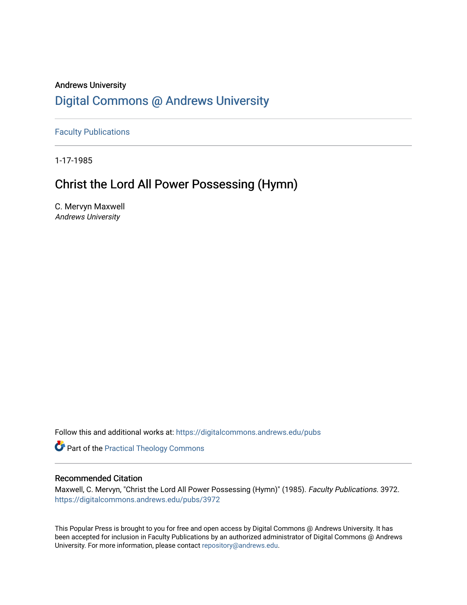## Andrews University [Digital Commons @ Andrews University](https://digitalcommons.andrews.edu/)

[Faculty Publications](https://digitalcommons.andrews.edu/pubs)

1-17-1985

## Christ the Lord All Power Possessing (Hymn)

C. Mervyn Maxwell Andrews University

Follow this and additional works at: [https://digitalcommons.andrews.edu/pubs](https://digitalcommons.andrews.edu/pubs?utm_source=digitalcommons.andrews.edu%2Fpubs%2F3972&utm_medium=PDF&utm_campaign=PDFCoverPages) 

**Part of the [Practical Theology Commons](http://network.bepress.com/hgg/discipline/1186?utm_source=digitalcommons.andrews.edu%2Fpubs%2F3972&utm_medium=PDF&utm_campaign=PDFCoverPages)** 

#### Recommended Citation

Maxwell, C. Mervyn, "Christ the Lord All Power Possessing (Hymn)" (1985). Faculty Publications. 3972. [https://digitalcommons.andrews.edu/pubs/3972](https://digitalcommons.andrews.edu/pubs/3972?utm_source=digitalcommons.andrews.edu%2Fpubs%2F3972&utm_medium=PDF&utm_campaign=PDFCoverPages) 

This Popular Press is brought to you for free and open access by Digital Commons @ Andrews University. It has been accepted for inclusion in Faculty Publications by an authorized administrator of Digital Commons @ Andrews University. For more information, please contact [repository@andrews.edu](mailto:repository@andrews.edu).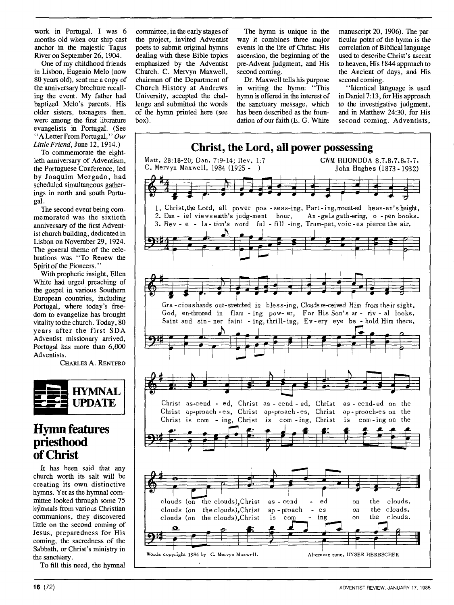work in Portugal. I was 6 months old when our ship cast anchor in the majestic Tagus River on September 26, 1904.

One of my childhood friends in Lisbon, Eugenio Melo (now 80 years old), sent me a copy of the anniversary brochure recalling the event. My father had baptized Melo's parents. His older sisters, teenagers then, were among the first literature evangelists in Portugal. (See "A Letter From Portugal," *Our Little Friend,* June 12, 1914.)

To commemorate the eightieth anniversary of Adventism, the Portuguese Conference, led by Joaquim Morgado, had scheduled simultaneous gatherings in north and south Portugal.

The second event being commemorated was the sixtieth anniversary of the first Adventist church building, dedicated in Lisbon on November 29, 1924. The general theme of the celebrations was "To Renew the Spirit of the Pioneers."

With prophetic insight, Ellen White had urged preaching of the gospel in various Southern European countries, including Portugal, where today's freedom to evangelize has brought vitality to the church. Today, 80 years after the first SDA Adventist missionary arrived, Portugal has more than 6,000 Adventists.

CHARLES A. RENTFRO



### **Hymn features priesthood of Christ**

It has been said that any church worth its salt will be creating its own distinctive hymns. Yet as the hymnal committee looked through some 75 hymnals from various Christian communions, they discovered little on the second coming of Jesus, preparedness for His coming, the sacredness of the Sabbath, or Christ's ministry in the sanctuary.

To fill this need, the hymnal

the project, invited Adventist way it combines three major ticular point of the hymn is the poets to submit original hymns events in the life of Christ: His correlation of Biblical language poets to submit original hymns events in the life of Christ: His dealing with these Bible topics ascension, the beginning of the dealing with these Bible topics ascension, the beginning of the used to describe Christ's ascent emphasized by the Adventist pre-Advent judgment, and His to heaven, His 1844 approach to Church. C. Mervyn Maxwell, second coming. the Ancient of chairman of the Department of Dr. Maxwell tells his purpose second coming. chairman of the Department of<br>Church History at Andrews Church History at Andrews in writing the hymn: "This "Identical language is used University, accepted the chal-<br>University, accepted the chal-<br>
hymn is offered in the interest of in Daniel 7:13, for His approach University, accepted the chal-hymn is offered in the interest of lenge and submitted the words the sanctuary message, which lenge and submitted the words the sanctuary message, which to the investigative judgment, of the hymn printed here (see has been described as the foun- and in Matthew 24:30, for His

committee, in the early stages of The hymn is unique in the manuscript 20, 1906). The par-<br>the project, invited Adventist way it combines three major ticular point of the hymn is the pre-Advent judgment, and His to heaven, His 1844 approach to second coming. the Ancient of days, and His

has been described as the foun-

box). dation of our faith (E. G. White second coming. Adventists,